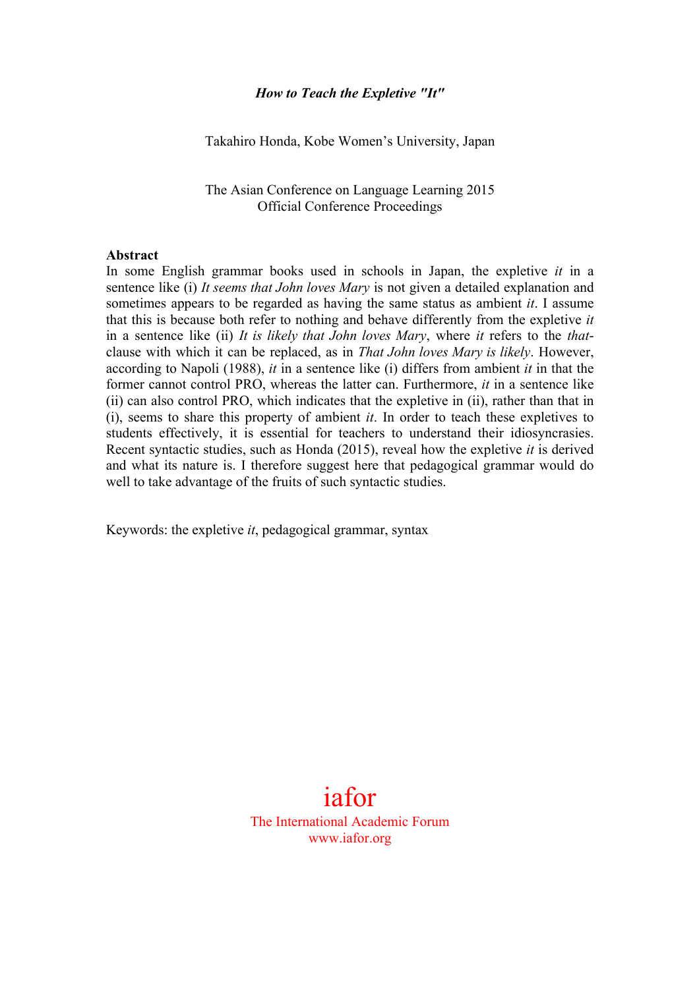#### *How to Teach the Expletive "It"*

Takahiro Honda, Kobe Women's University, Japan

The Asian Conference on Language Learning 2015 Official Conference Proceedings

#### **Abstract**

In some English grammar books used in schools in Japan, the expletive *it* in a sentence like (i) *It seems that John loves Mary* is not given a detailed explanation and sometimes appears to be regarded as having the same status as ambient *it*. I assume that this is because both refer to nothing and behave differently from the expletive *it* in a sentence like (ii) *It is likely that John loves Mary*, where *it* refers to the *that*clause with which it can be replaced, as in *That John loves Mary is likely*. However, according to Napoli (1988), *it* in a sentence like (i) differs from ambient *it* in that the former cannot control PRO, whereas the latter can. Furthermore, *it* in a sentence like (ii) can also control PRO, which indicates that the expletive in (ii), rather than that in (i), seems to share this property of ambient *it*. In order to teach these expletives to students effectively, it is essential for teachers to understand their idiosyncrasies. Recent syntactic studies, such as Honda (2015), reveal how the expletive *it* is derived and what its nature is. I therefore suggest here that pedagogical grammar would do well to take advantage of the fruits of such syntactic studies.

Keywords: the expletive *it*, pedagogical grammar, syntax

iafor The International Academic Forum www.iafor.org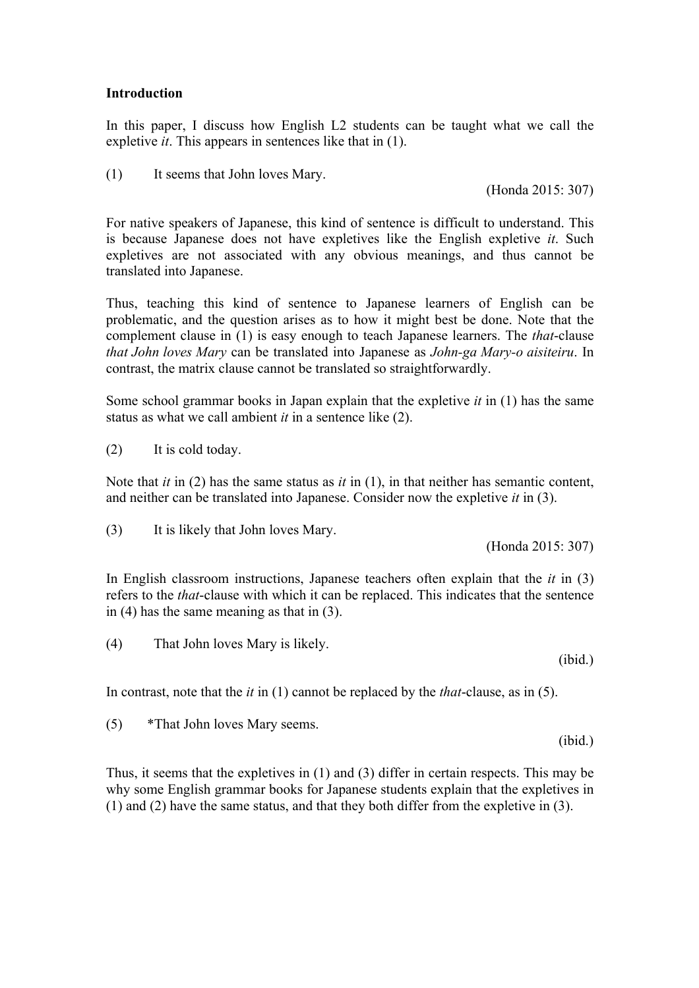### **Introduction**

In this paper, I discuss how English L2 students can be taught what we call the expletive *it*. This appears in sentences like that in (1).

(1) It seems that John loves Mary.

(Honda 2015: 307)

For native speakers of Japanese, this kind of sentence is difficult to understand. This is because Japanese does not have expletives like the English expletive *it*. Such expletives are not associated with any obvious meanings, and thus cannot be translated into Japanese.

Thus, teaching this kind of sentence to Japanese learners of English can be problematic, and the question arises as to how it might best be done. Note that the complement clause in (1) is easy enough to teach Japanese learners. The *that*-clause *that John loves Mary* can be translated into Japanese as *John-ga Mary-o aisiteiru*. In contrast, the matrix clause cannot be translated so straightforwardly.

Some school grammar books in Japan explain that the expletive *it* in (1) has the same status as what we call ambient *it* in a sentence like (2).

(2) It is cold today.

Note that *it* in (2) has the same status as *it* in (1), in that neither has semantic content, and neither can be translated into Japanese. Consider now the expletive *it* in (3).

(3) It is likely that John loves Mary.

(Honda 2015: 307)

In English classroom instructions, Japanese teachers often explain that the *it* in (3) refers to the *that*-clause with which it can be replaced. This indicates that the sentence in (4) has the same meaning as that in (3).

(4) That John loves Mary is likely.

In contrast, note that the *it* in (1) cannot be replaced by the *that*-clause, as in (5).

(5) \*That John loves Mary seems.

Thus, it seems that the expletives in (1) and (3) differ in certain respects. This may be why some English grammar books for Japanese students explain that the expletives in (1) and (2) have the same status, and that they both differ from the expletive in (3).

(ibid.)

(ibid.)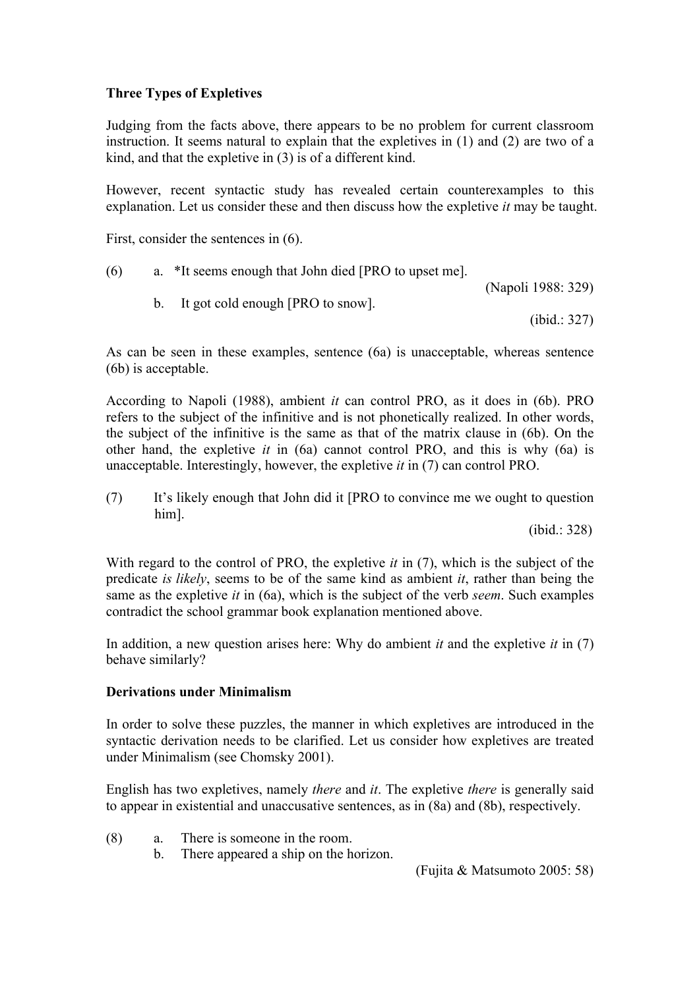# **Three Types of Expletives**

Judging from the facts above, there appears to be no problem for current classroom instruction. It seems natural to explain that the expletives in (1) and (2) are two of a kind, and that the expletive in (3) is of a different kind.

However, recent syntactic study has revealed certain counterexamples to this explanation. Let us consider these and then discuss how the expletive *it* may be taught.

First, consider the sentences in (6).

| (6) | a. *It seems enough that John died [PRO to upset me]. |                    |
|-----|-------------------------------------------------------|--------------------|
|     |                                                       | (Napoli 1988: 329) |

b. It got cold enough [PRO to snow].

(ibid.: 327)

As can be seen in these examples, sentence (6a) is unacceptable, whereas sentence (6b) is acceptable.

According to Napoli (1988), ambient *it* can control PRO, as it does in (6b). PRO refers to the subject of the infinitive and is not phonetically realized. In other words, the subject of the infinitive is the same as that of the matrix clause in (6b). On the other hand, the expletive *it* in (6a) cannot control PRO, and this is why (6a) is unacceptable. Interestingly, however, the expletive *it* in (7) can control PRO.

(7) It's likely enough that John did it [PRO to convince me we ought to question him].

(ibid.: 328)

With regard to the control of PRO, the expletive *it* in (7), which is the subject of the predicate *is likely*, seems to be of the same kind as ambient *it*, rather than being the same as the expletive *it* in (6a), which is the subject of the verb *seem*. Such examples contradict the school grammar book explanation mentioned above.

In addition, a new question arises here: Why do ambient *it* and the expletive *it* in (7) behave similarly?

## **Derivations under Minimalism**

In order to solve these puzzles, the manner in which expletives are introduced in the syntactic derivation needs to be clarified. Let us consider how expletives are treated under Minimalism (see Chomsky 2001).

English has two expletives, namely *there* and *it*. The expletive *there* is generally said to appear in existential and unaccusative sentences, as in (8a) and (8b), respectively.

- (8) a. There is someone in the room.
	- b. There appeared a ship on the horizon.

(Fujita & Matsumoto 2005: 58)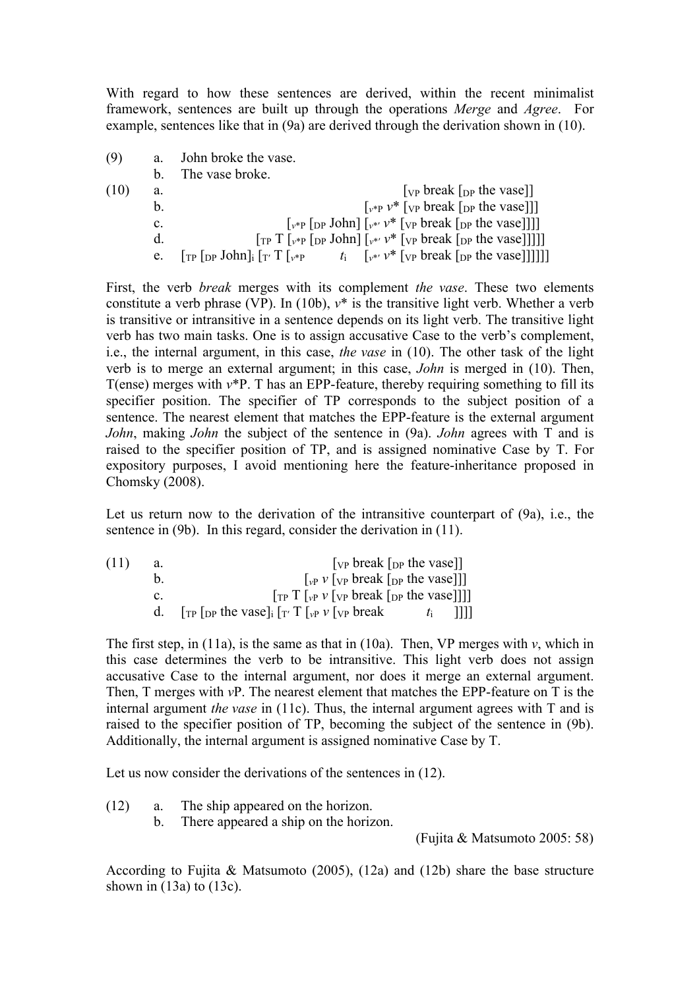With regard to how these sentences are derived, within the recent minimalist framework, sentences are built up through the operations *Merge* and *Agree*. For example, sentences like that in (9a) are derived through the derivation shown in (10).

| (9)  | a.             | John broke the vase.                                                                                                                                                                                                              |
|------|----------------|-----------------------------------------------------------------------------------------------------------------------------------------------------------------------------------------------------------------------------------|
|      | h.             | The vase broke.                                                                                                                                                                                                                   |
| (10) | a.             | $[\nabla_{\mathbf{P}}$ break $[\nabla_{\mathbf{P}}]$ the vase                                                                                                                                                                     |
|      | b.             | $\lceil v^* \rceil$ $V^*$ $\lceil v \rceil$ break $\lceil p \rceil$ the vase $\lceil \rceil$                                                                                                                                      |
|      | $\mathbf{c}$ . | $\lceil v^*P \rceil_{\text{DP}}$ John] $\lceil v^* v^* \rceil_{\text{VP}}$ break $\lceil_{\text{DP}}$ the vase]]]                                                                                                                 |
|      | d.             |                                                                                                                                                                                                                                   |
|      | e.             | $t_i$ $\left[\sqrt{\nu^*} \sqrt{\nu^*} \right]$ [vp break $\left[\sqrt{\nu^*} \ln \nu \right]$ [vertless]<br>$\lceil_{\text{TP}} \rceil_{\text{DP}}$ John $\rceil_{\text{i}} \lceil_{\text{T'}} \text{T} \rceil_{\nu^* \text{P}}$ |

First, the verb *break* merges with its complement *the vase*. These two elements constitute a verb phrase (VP). In (10b),  $v^*$  is the transitive light verb. Whether a verb is transitive or intransitive in a sentence depends on its light verb. The transitive light verb has two main tasks. One is to assign accusative Case to the verb's complement, i.e., the internal argument, in this case, *the vase* in (10). The other task of the light verb is to merge an external argument; in this case, *John* is merged in (10). Then, T(ense) merges with *v*\*P. T has an EPP-feature, thereby requiring something to fill its specifier position. The specifier of TP corresponds to the subject position of a sentence. The nearest element that matches the EPP-feature is the external argument *John*, making *John* the subject of the sentence in (9a). *John* agrees with T and is raised to the specifier position of TP, and is assigned nominative Case by T. For expository purposes, I avoid mentioning here the feature-inheritance proposed in Chomsky (2008).

Let us return now to the derivation of the intransitive counterpart of (9a), i.e., the sentence in (9b). In this regard, consider the derivation in (11).

(11) a.  $[vP]$  [ $[vP]$  break [ $DP$ ] b.  $\left[\begin{array}{cc} \n\sqrt{2} & \sqrt{2} \\
\sqrt{2} & \sqrt{2} \\
\sqrt{2} & \sqrt{2} \\
\sqrt{2} & \sqrt{2} \\
\sqrt{2} & \sqrt{2} \\
\sqrt{2} & \sqrt{2} \\
\sqrt{2} & \sqrt{2} \\
\sqrt{2} & \sqrt{2} \\
\sqrt{2} & \sqrt{2} \\
\sqrt{2} & \sqrt{2} \\
\sqrt{2} & \sqrt{2} \\
\sqrt{2} & \sqrt{2} \\
\sqrt{2} & \sqrt{2} \\
\sqrt{2} & \sqrt{2} \\
\sqrt{2} & \sqrt{2} \\
\sqrt{2} & \sqrt{2} \\
\sqrt{2} & \sqrt{2} \\
\sqrt$ c.  $\left[\begin{array}{cc} \n\text{Tr} \text{T} \left[\begin{array}{cc} v \text{P} \end{array} v \left[\begin{array}{cc} v \text{P} \end{array} \text{break} \left[\begin{array}{cc} v \text{P} \text{} \text{the} \text{vase} \end{array}\right]\right]\n\right]\n\right]$ d.  $[\text{TP} [\text{DP} \text{ the } \text{vase}]_i [\text{TP} \text{ T} [\text{VP} \text{ V} [\text{VP} \text{ break} \text{ I} \text{ I} \text{ ]}]]]$ 

The first step, in (11a), is the same as that in (10a). Then, VP merges with  $v$ , which in this case determines the verb to be intransitive. This light verb does not assign accusative Case to the internal argument, nor does it merge an external argument. Then, T merges with *v*P. The nearest element that matches the EPP-feature on T is the internal argument *the vase* in (11c). Thus, the internal argument agrees with T and is raised to the specifier position of TP, becoming the subject of the sentence in (9b). Additionally, the internal argument is assigned nominative Case by T.

Let us now consider the derivations of the sentences in (12).

- (12) a. The ship appeared on the horizon.
	- b. There appeared a ship on the horizon.

(Fujita & Matsumoto 2005: 58)

According to Fujita & Matsumoto (2005), (12a) and (12b) share the base structure shown in  $(13a)$  to  $(13c)$ .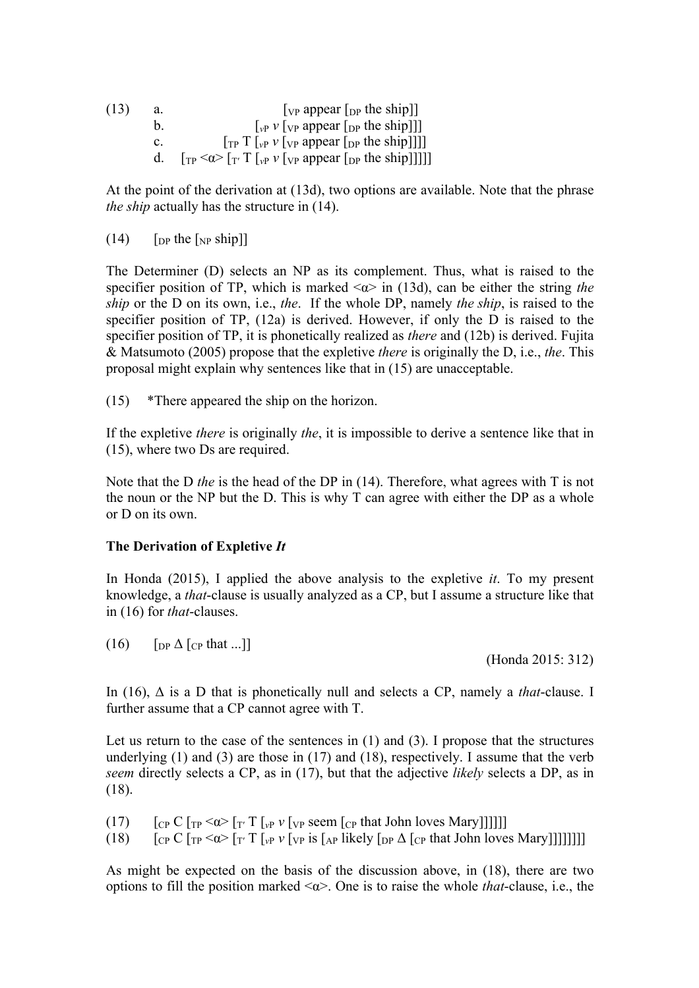| (13) | a. | $[\nu_{\rm P}$ appear $[\nu_{\rm P}$ the ship]                                        |
|------|----|---------------------------------------------------------------------------------------|
|      | h. | $[\n \psi_{\rm P} \nu \nu_{\rm P}]$ appear $[\n \nu_{\rm P} \rho$ the ship $\nu$      |
|      | C. | $[\text{TP} \ T$ [ <sub>vP</sub> v [ <sub>VP</sub> appear [ <sub>DP</sub> the ship]]] |
|      |    |                                                                                       |

At the point of the derivation at (13d), two options are available. Note that the phrase *the ship* actually has the structure in (14).

 $(14)$  [DP the [NP ship]]

The Determiner (D) selects an NP as its complement. Thus, what is raised to the specifier position of TP, which is marked  $\langle \alpha \rangle$  in (13d), can be either the string *the ship* or the D on its own, i.e., *the*. If the whole DP, namely *the ship*, is raised to the specifier position of TP, (12a) is derived. However, if only the D is raised to the specifier position of TP, it is phonetically realized as *there* and (12b) is derived. Fujita & Matsumoto (2005) propose that the expletive *there* is originally the D, i.e., *the*. This proposal might explain why sentences like that in (15) are unacceptable.

(15) \*There appeared the ship on the horizon.

If the expletive *there* is originally *the*, it is impossible to derive a sentence like that in (15), where two Ds are required.

Note that the D *the* is the head of the DP in (14). Therefore, what agrees with T is not the noun or the NP but the D. This is why T can agree with either the DP as a whole or D on its own.

#### **The Derivation of Expletive** *It*

In Honda (2015), I applied the above analysis to the expletive *it*. To my present knowledge, a *that*-clause is usually analyzed as a CP, but I assume a structure like that in (16) for *that*-clauses.

(16)  $\left[ \nabla P \Delta \left[ \nabla P \Delta \right] \right]$ 

(Honda 2015: 312)

In (16), Δ is a D that is phonetically null and selects a CP, namely a *that*-clause. I further assume that a CP cannot agree with T.

Let us return to the case of the sentences in (1) and (3). I propose that the structures underlying (1) and (3) are those in (17) and (18), respectively. I assume that the verb *seem* directly selects a CP, as in (17), but that the adjective *likely* selects a DP, as in (18).

- (17)  $\left[ \frac{\text{Cp C}}{\text{Cp C}} \right]$   $\left[ \frac{1}{\text{Cp C}} \right]$   $\left[ \frac{1}{\text{Cp C}} \right]$   $\left[ \frac{1}{\text{Cp C}} \right]$   $\left[ \frac{1}{\text{Cp C}} \right]$   $\left[ \frac{1}{\text{Cp C}} \right]$
- (18)  $\left[\frac{\text{Cp C}}{\text{Cp C}} \right]_{\text{TP}} \leq \alpha > \left[\frac{\text{T}}{\text{T}} \right]_{\text{VP}} \nu \left[\frac{\text{Cp}}{\text{Cp}} \right]_{\text{AP}} \text{ likely} \left[\frac{\text{Dp A}}{\text{Cp}} \right]_{\text{CP}} \text{ that John loves Mary}}$

As might be expected on the basis of the discussion above, in (18), there are two options to fill the position marked <α>. One is to raise the whole *that*-clause, i.e., the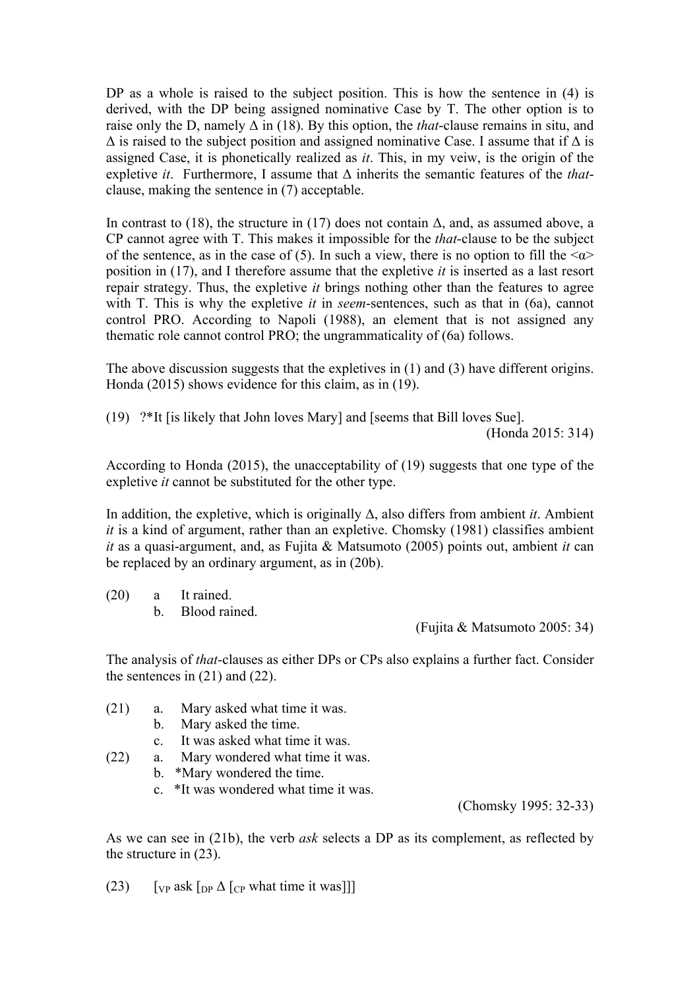DP as a whole is raised to the subject position. This is how the sentence in (4) is derived, with the DP being assigned nominative Case by T. The other option is to raise only the D, namely  $\Delta$  in (18). By this option, the *that*-clause remains in situ, and  $\Delta$  is raised to the subject position and assigned nominative Case. I assume that if  $\Delta$  is assigned Case, it is phonetically realized as *it*. This, in my veiw, is the origin of the expletive *it*. Furthermore, I assume that Δ inherits the semantic features of the *that*clause, making the sentence in (7) acceptable.

In contrast to (18), the structure in (17) does not contain  $\Delta$ , and, as assumed above, a CP cannot agree with T. This makes it impossible for the *that*-clause to be the subject of the sentence, as in the case of (5). In such a view, there is no option to fill the  $\langle \alpha \rangle$ position in (17), and I therefore assume that the expletive *it* is inserted as a last resort repair strategy. Thus, the expletive *it* brings nothing other than the features to agree with T. This is why the expletive *it* in *seem*-sentences, such as that in (6a), cannot control PRO. According to Napoli (1988), an element that is not assigned any thematic role cannot control PRO; the ungrammaticality of (6a) follows.

The above discussion suggests that the expletives in (1) and (3) have different origins. Honda (2015) shows evidence for this claim, as in (19).

(19) ?\*It [is likely that John loves Mary] and [seems that Bill loves Sue].

(Honda 2015: 314)

According to Honda (2015), the unacceptability of (19) suggests that one type of the expletive *it* cannot be substituted for the other type.

In addition, the expletive, which is originally Δ, also differs from ambient *it*. Ambient *it* is a kind of argument, rather than an expletive. Chomsky (1981) classifies ambient *it* as a quasi-argument, and, as Fujita & Matsumoto (2005) points out, ambient *it* can be replaced by an ordinary argument, as in (20b).

(20) a It rained. b. Blood rained.

(Fujita & Matsumoto 2005: 34)

The analysis of *that*-clauses as either DPs or CPs also explains a further fact. Consider the sentences in (21) and (22).

- (21) a. Mary asked what time it was.
	- b. Mary asked the time.
	- c. It was asked what time it was.
- (22) a. Mary wondered what time it was.
	- b. \*Mary wondered the time.
	- c. \*It was wondered what time it was.

(Chomsky 1995: 32-33)

As we can see in (21b), the verb *ask* selects a DP as its complement, as reflected by the structure in (23).

(23) [VP ask  $\lceil \ln \Delta \rceil$  [CP what time it was]]]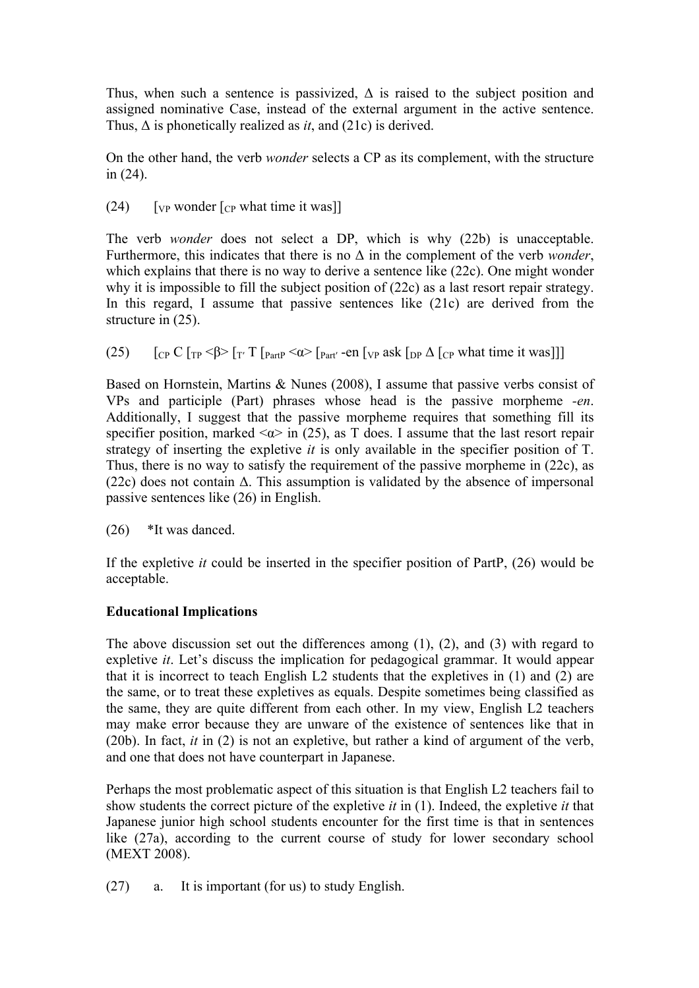Thus, when such a sentence is passivized,  $\Delta$  is raised to the subject position and assigned nominative Case, instead of the external argument in the active sentence. Thus, Δ is phonetically realized as *it*, and (21c) is derived.

On the other hand, the verb *wonder* selects a CP as its complement, with the structure in (24).

(24)  $\lceil \text{VP} \text{ wonder} \rceil \lceil \text{CP} \text{ what time it was} \rceil$ 

The verb *wonder* does not select a DP, which is why (22b) is unacceptable. Furthermore, this indicates that there is no Δ in the complement of the verb *wonder*, which explains that there is no way to derive a sentence like (22c). One might wonder why it is impossible to fill the subject position of (22c) as a last resort repair strategy. In this regard, I assume that passive sentences like (21c) are derived from the structure in (25).

(25)  $\left[\frac{\text{Cp C}}{\text{Cp C}}\right]$   $\left[\frac{\text{Cp C}}{\text{Cp C}}\right]$   $\left[\frac{\text{Cp C}}{\text{Cp C}}\right]$   $\left[\frac{\text{Cp C}}{\text{Cp C}}\right]$   $\left[\frac{\text{Cp C}}{\text{Cp C}}\right]$   $\left[\frac{\text{Cp C}}{\text{Cp C}}\right]$ 

Based on Hornstein, Martins & Nunes (2008), I assume that passive verbs consist of VPs and participle (Part) phrases whose head is the passive morpheme *-en*. Additionally, I suggest that the passive morpheme requires that something fill its specifier position, marked  $\langle \alpha \rangle$  in (25), as T does. I assume that the last resort repair strategy of inserting the expletive *it* is only available in the specifier position of T. Thus, there is no way to satisfy the requirement of the passive morpheme in (22c), as (22c) does not contain  $\Delta$ . This assumption is validated by the absence of impersonal passive sentences like (26) in English.

(26) \*It was danced.

If the expletive *it* could be inserted in the specifier position of PartP, (26) would be acceptable.

## **Educational Implications**

The above discussion set out the differences among (1), (2), and (3) with regard to expletive *it*. Let's discuss the implication for pedagogical grammar. It would appear that it is incorrect to teach English L2 students that the expletives in (1) and (2) are the same, or to treat these expletives as equals. Despite sometimes being classified as the same, they are quite different from each other. In my view, English L2 teachers may make error because they are unware of the existence of sentences like that in (20b). In fact, *it* in (2) is not an expletive, but rather a kind of argument of the verb, and one that does not have counterpart in Japanese.

Perhaps the most problematic aspect of this situation is that English L2 teachers fail to show students the correct picture of the expletive *it* in (1). Indeed, the expletive *it* that Japanese junior high school students encounter for the first time is that in sentences like (27a), according to the current course of study for lower secondary school (MEXT 2008).

(27) a. It is important (for us) to study English.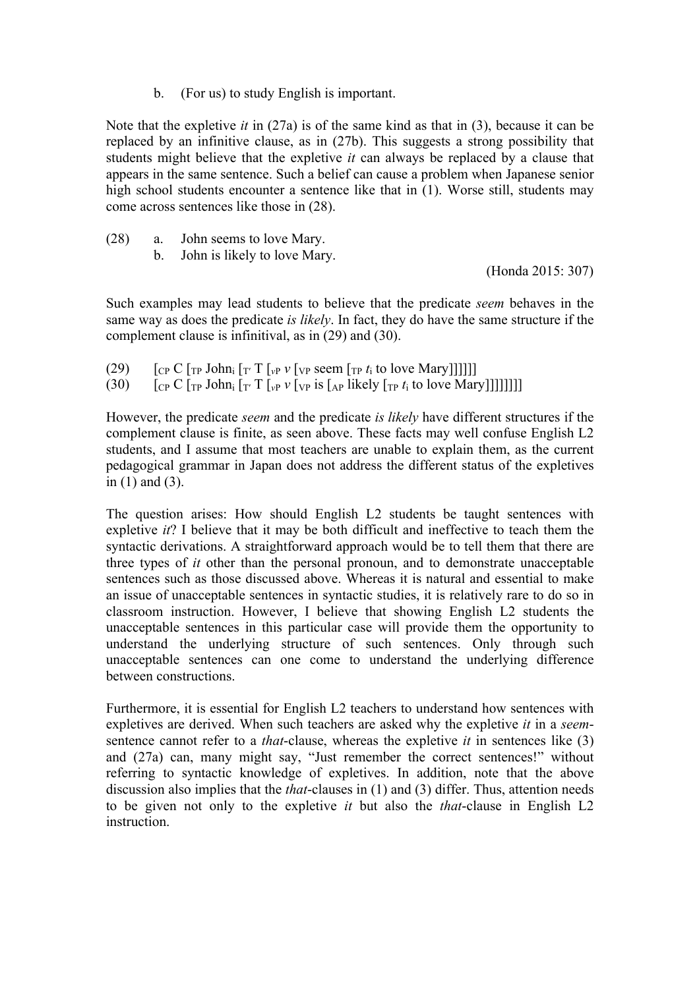b. (For us) to study English is important.

Note that the expletive *it* in (27a) is of the same kind as that in (3), because it can be replaced by an infinitive clause, as in (27b). This suggests a strong possibility that students might believe that the expletive *it* can always be replaced by a clause that appears in the same sentence. Such a belief can cause a problem when Japanese senior high school students encounter a sentence like that in (1). Worse still, students may come across sentences like those in (28).

- (28) a. John seems to love Mary.
	- b. John is likely to love Mary.

(Honda 2015: 307)

Such examples may lead students to believe that the predicate *seem* behaves in the same way as does the predicate *is likely*. In fact, they do have the same structure if the complement clause is infinitival, as in (29) and (30).

- (29)  $\left[ \int_{\mathbb{C}^p} C \left[ \int_{\mathbb{T}^p} \int_{\mathbb{C}^p} \int_{\mathbb{T}^r} \int_{\mathbb{T}^p} \int_{\mathbb{T}^p} \int_{\mathbb{T}^p} \int_{\mathbb{T}^p} \int_{\mathbb{T}^p} f_i \right]_{\mathbb{T}^p} \right]$
- (30)  $\int_{CP} C \int_{TP} J \phi \ln i \int_{T'} T \int_{VP} \nu \int_{VP} i \sin \left[ \frac{1}{4} \pi \frac{J}{2} \right] \times \int_{TP} i \sin \left[ \frac{1}{4} \pi \frac{J}{2} \right]$

However, the predicate *seem* and the predicate *is likely* have different structures if the complement clause is finite, as seen above. These facts may well confuse English L2 students, and I assume that most teachers are unable to explain them, as the current pedagogical grammar in Japan does not address the different status of the expletives in (1) and (3).

The question arises: How should English L2 students be taught sentences with expletive *it*? I believe that it may be both difficult and ineffective to teach them the syntactic derivations. A straightforward approach would be to tell them that there are three types of *it* other than the personal pronoun, and to demonstrate unacceptable sentences such as those discussed above. Whereas it is natural and essential to make an issue of unacceptable sentences in syntactic studies, it is relatively rare to do so in classroom instruction. However, I believe that showing English L2 students the unacceptable sentences in this particular case will provide them the opportunity to understand the underlying structure of such sentences. Only through such unacceptable sentences can one come to understand the underlying difference between constructions.

Furthermore, it is essential for English L2 teachers to understand how sentences with expletives are derived. When such teachers are asked why the expletive *it* in a *seem*sentence cannot refer to a *that*-clause, whereas the expletive *it* in sentences like (3) and (27a) can, many might say, "Just remember the correct sentences!" without referring to syntactic knowledge of expletives. In addition, note that the above discussion also implies that the *that*-clauses in (1) and (3) differ. Thus, attention needs to be given not only to the expletive *it* but also the *that*-clause in English L2 instruction.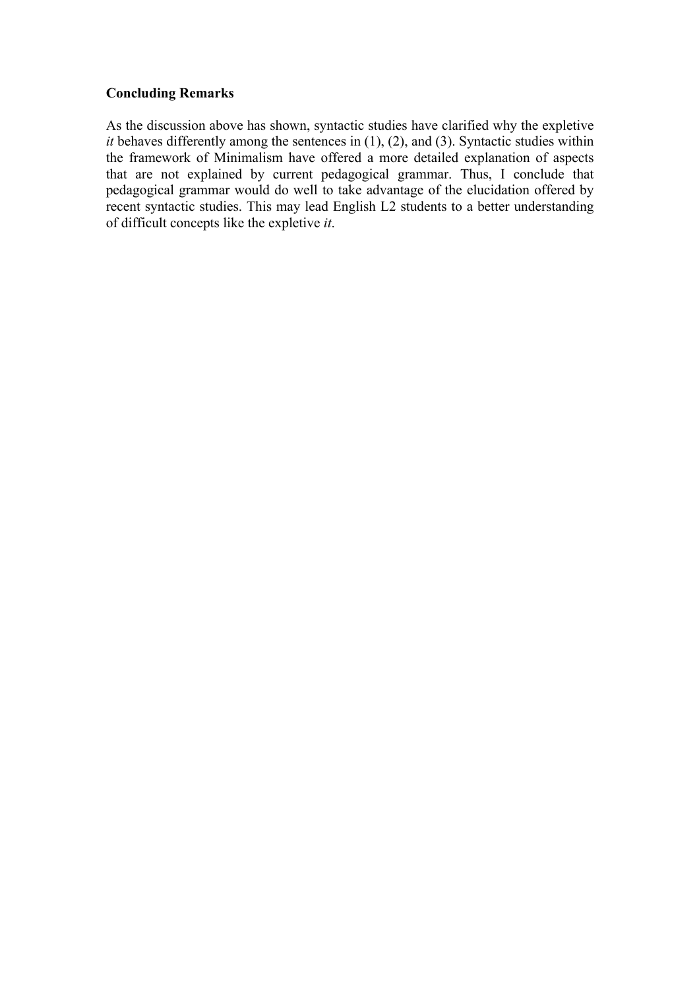## **Concluding Remarks**

As the discussion above has shown, syntactic studies have clarified why the expletive *it* behaves differently among the sentences in (1), (2), and (3). Syntactic studies within the framework of Minimalism have offered a more detailed explanation of aspects that are not explained by current pedagogical grammar. Thus, I conclude that pedagogical grammar would do well to take advantage of the elucidation offered by recent syntactic studies. This may lead English L2 students to a better understanding of difficult concepts like the expletive *it*.